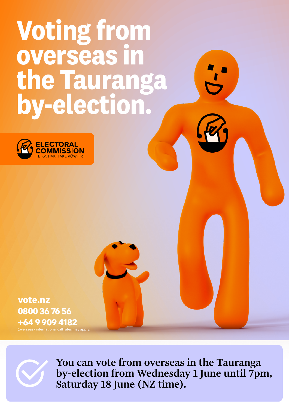# **Voting from overseas in the Tauranga by-election.**



**vote.nz 0800 36 76 56 +64 9 909 4182**  externational call rates may apply)



You can vote from overseas in the Tauranga by-election from Wednesday 1 June until 7pm, Saturday 18 June (NZ time).